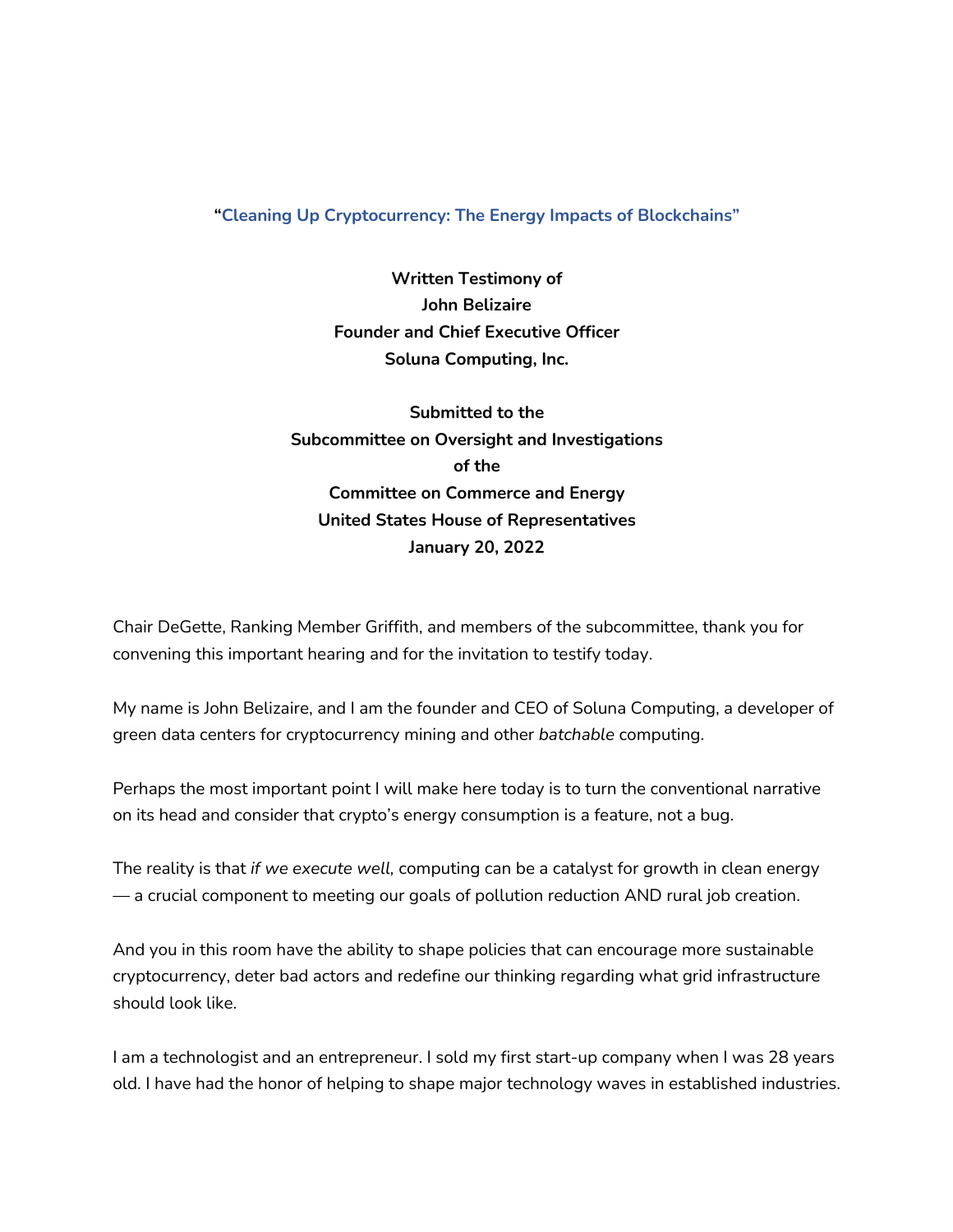## **"Cleaning Up Cryptocurrency: The Energy Impacts of Blockchains"**

**Written Testimony of John Belizaire Founder and Chief Executive Officer Soluna Computing, Inc.**

**Submitted to the Subcommittee on Oversight and Investigations of the Committee on Commerce and Energy United States House of Representatives January 20, 2022**

Chair DeGette, Ranking Member Griffith, and members of the subcommittee, thank you for convening this important hearing and for the invitation to testify today.

My name is John Belizaire, and I am the founder and CEO of Soluna Computing, a developer of green data centers for cryptocurrency mining and other *batchable* computing.

Perhaps the most important point I will make here today is to turn the conventional narrative on its head and consider that crypto's energy consumption is a feature, not a bug.

The reality is that *if we execute well,* computing can be a catalyst for growth in clean energy — a crucial component to meeting our goals of pollution reduction AND rural job creation.

And you in this room have the ability to shape policies that can encourage more sustainable cryptocurrency, deter bad actors and redefine our thinking regarding what grid infrastructure should look like.

I am a technologist and an entrepreneur. I sold my first start-up company when I was 28 years old. I have had the honor of helping to shape major technology waves in established industries.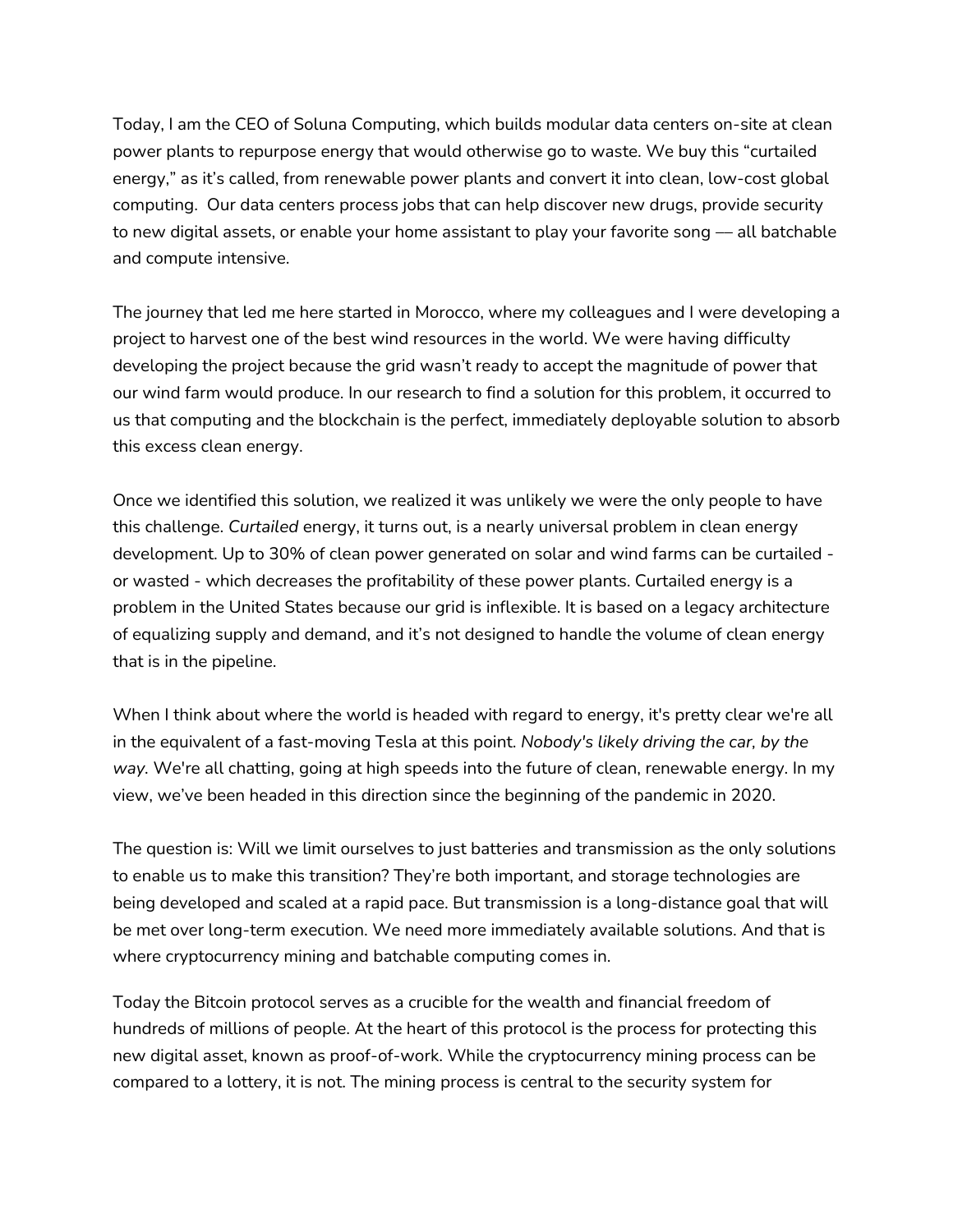Today, I am the CEO of Soluna Computing, which builds modular data centers on-site at clean power plants to repurpose energy that would otherwise go to waste. We buy this "curtailed energy," as it's called, from renewable power plants and convert it into clean, low-cost global computing. Our data centers process jobs that can help discover new drugs, provide security to new digital assets, or enable your home assistant to play your favorite song  $-$  all batchable and compute intensive.

The journey that led me here started in Morocco, where my colleagues and I were developing a project to harvest one of the best wind resources in the world. We were having difficulty developing the project because the grid wasn't ready to accept the magnitude of power that our wind farm would produce. In our research to find a solution for this problem, it occurred to us that computing and the blockchain is the perfect, immediately deployable solution to absorb this excess clean energy.

Once we identified this solution, we realized it was unlikely we were the only people to have this challenge. *Curtailed* energy, it turns out, is a nearly universal problem in clean energy development. Up to 30% of clean power generated on solar and wind farms can be curtailed or wasted - which decreases the profitability of these power plants. Curtailed energy is a problem in the United States because our grid is inflexible. It is based on a legacy architecture of equalizing supply and demand, and it's not designed to handle the volume of clean energy that is in the pipeline.

When I think about where the world is headed with regard to energy, it's pretty clear we're all in the equivalent of a fast-moving Tesla at this point. *Nobody's likely driving the car, by the way.* We're all chatting, going at high speeds into the future of clean, renewable energy. In my view, we've been headed in this direction since the beginning of the pandemic in 2020.

The question is: Will we limit ourselves to just batteries and transmission as the only solutions to enable us to make this transition? They're both important, and storage technologies are being developed and scaled at a rapid pace. But transmission is a long-distance goal that will be met over long-term execution. We need more immediately available solutions. And that is where cryptocurrency mining and batchable computing comes in.

Today the Bitcoin protocol serves as a crucible for the wealth and financial freedom of hundreds of millions of people. At the heart of this protocol is the process for protecting this new digital asset, known as proof-of-work. While the cryptocurrency mining process can be compared to a lottery, it is not. The mining process is central to the security system for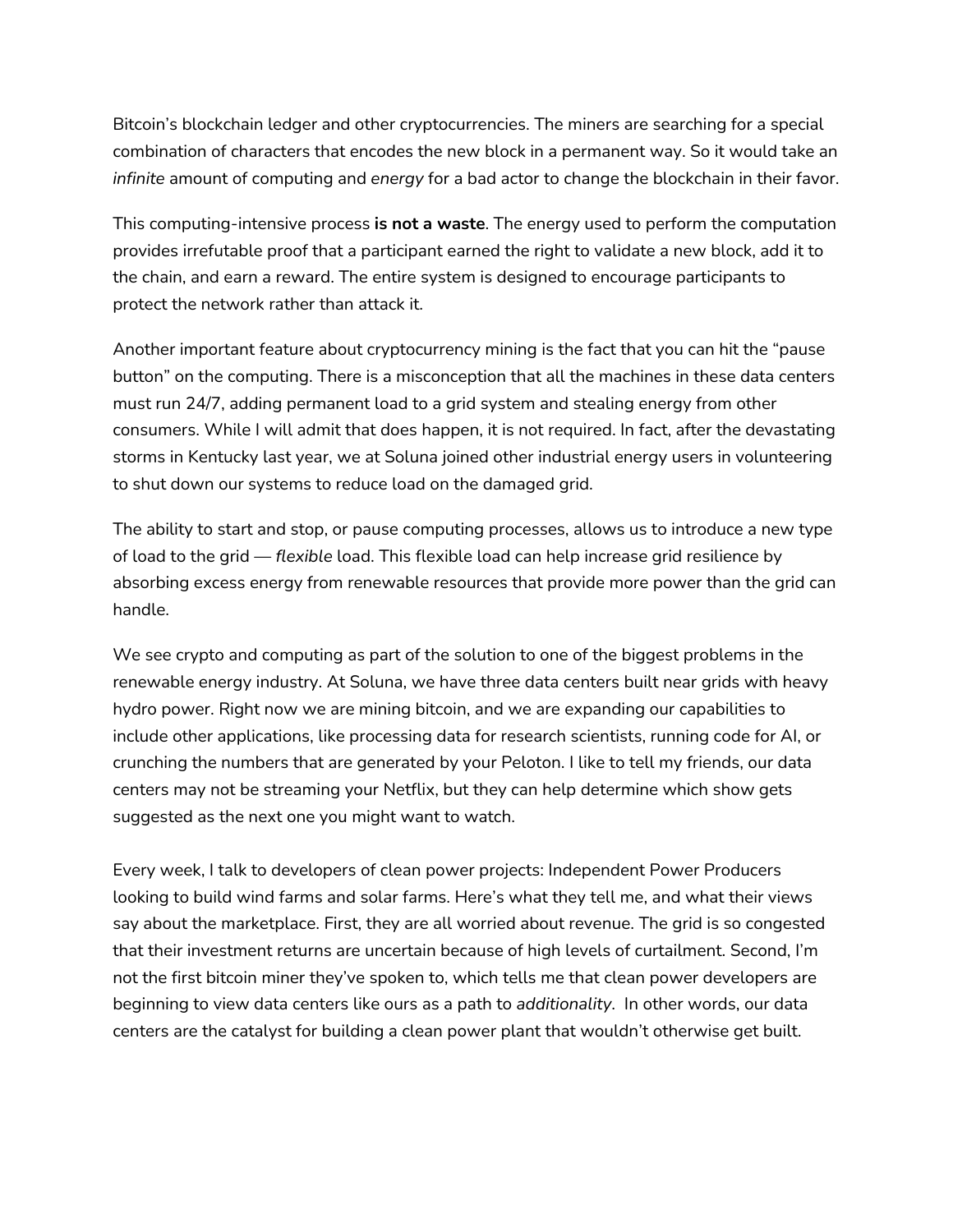Bitcoin's blockchain ledger and other cryptocurrencies. The miners are searching for a special combination of characters that encodes the new block in a permanent way. So it would take an *infinite* amount of computing and *energy* for a bad actor to change the blockchain in their favor.

This computing-intensive process **is not a waste**. The energy used to perform the computation provides irrefutable proof that a participant earned the right to validate a new block, add it to the chain, and earn a reward. The entire system is designed to encourage participants to protect the network rather than attack it.

Another important feature about cryptocurrency mining is the fact that you can hit the "pause button" on the computing. There is a misconception that all the machines in these data centers must run 24/7, adding permanent load to a grid system and stealing energy from other consumers. While I will admit that does happen, it is not required. In fact, after the devastating storms in Kentucky last year, we at Soluna joined other industrial energy users in volunteering to shut down our systems to reduce load on the damaged grid.

The ability to start and stop, or pause computing processes, allows us to introduce a new type of load to the grid — *flexible* load. This flexible load can help increase grid resilience by absorbing excess energy from renewable resources that provide more power than the grid can handle.

We see crypto and computing as part of the solution to one of the biggest problems in the renewable energy industry. At Soluna, we have three data centers built near grids with heavy hydro power. Right now we are mining bitcoin, and we are expanding our capabilities to include other applications, like processing data for research scientists, running code for AI, or crunching the numbers that are generated by your Peloton. I like to tell my friends, our data centers may not be streaming your Netflix, but they can help determine which show gets suggested as the next one you might want to watch.

Every week, I talk to developers of clean power projects: Independent Power Producers looking to build wind farms and solar farms. Here's what they tell me, and what their views say about the marketplace. First, they are all worried about revenue. The grid is so congested that their investment returns are uncertain because of high levels of curtailment. Second, I'm not the first bitcoin miner they've spoken to, which tells me that clean power developers are beginning to view data centers like ours as a path to *additionality*. In other words, our data centers are the catalyst for building a clean power plant that wouldn't otherwise get built.